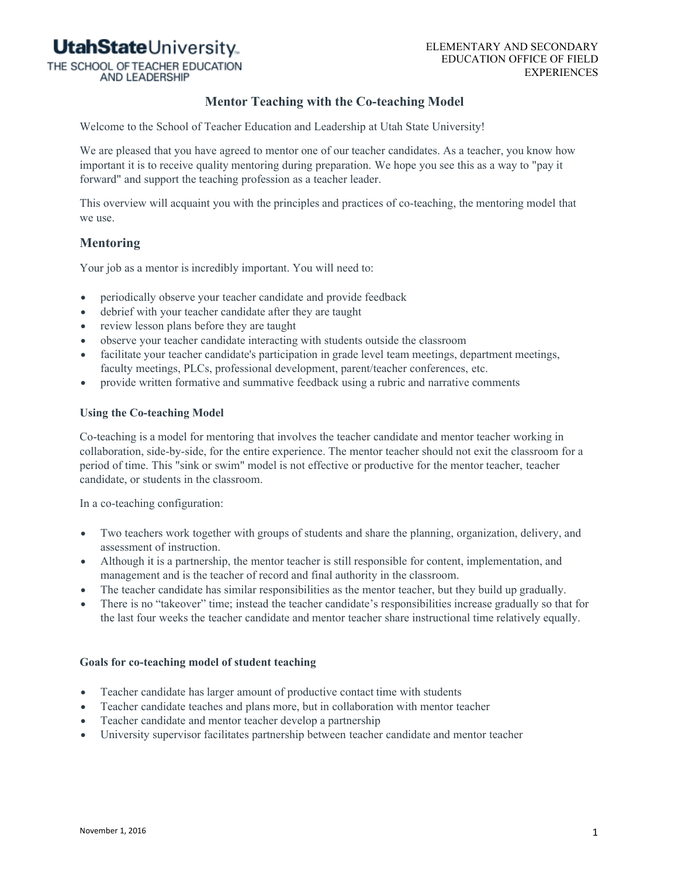# **UtahState**University

THE SCHOOL OF TEACHER EDUCATION

**AND LEADERSHIP** 

#### ELEMENTARY AND SECONDARY EDUCATION OFFICE OF FIELD EXPERIENCES

## **Mentor Teaching with the Co-teaching Model**

Welcome to the School of Teacher Education and Leadership at Utah State University!

We are pleased that you have agreed to mentor one of our teacher candidates. As a teacher, you know how important it is to receive quality mentoring during preparation. We hope you see this as a way to "pay it forward" and support the teaching profession as a teacher leader.

This overview will acquaint you with the principles and practices of co-teaching, the mentoring model that we use.

## **Mentoring**

Your job as a mentor is incredibly important. You will need to:

- periodically observe your teacher candidate and provide feedback
- debrief with your teacher candidate after they are taught
- review lesson plans before they are taught
- observe your teacher candidate interacting with students outside the classroom
- facilitate your teacher candidate's participation in grade level team meetings, department meetings, faculty meetings, PLCs, professional development, parent/teacher conferences, etc.
- provide written formative and summative feedback using a rubric and narrative comments

#### **Using the Co-teaching Model**

Co-teaching is a model for mentoring that involves the teacher candidate and mentor teacher working in collaboration, side-by-side, for the entire experience. The mentor teacher should not exit the classroom for a period of time. This "sink or swim" model is not effective or productive for the mentor teacher, teacher candidate, or students in the classroom.

In a co-teaching configuration:

- Two teachers work together with groups of students and share the planning, organization, delivery, and assessment of instruction.
- Although it is a partnership, the mentor teacher is still responsible for content, implementation, and management and is the teacher of record and final authority in the classroom.
- The teacher candidate has similar responsibilities as the mentor teacher, but they build up gradually.
- There is no "takeover" time; instead the teacher candidate's responsibilities increase gradually so that for the last four weeks the teacher candidate and mentor teacher share instructional time relatively equally.

#### **Goals for co-teaching model of student teaching**

- Teacher candidate has larger amount of productive contact time with students
- Teacher candidate teaches and plans more, but in collaboration with mentor teacher
- Teacher candidate and mentor teacher develop a partnership
- University supervisor facilitates partnership between teacher candidate and mentor teacher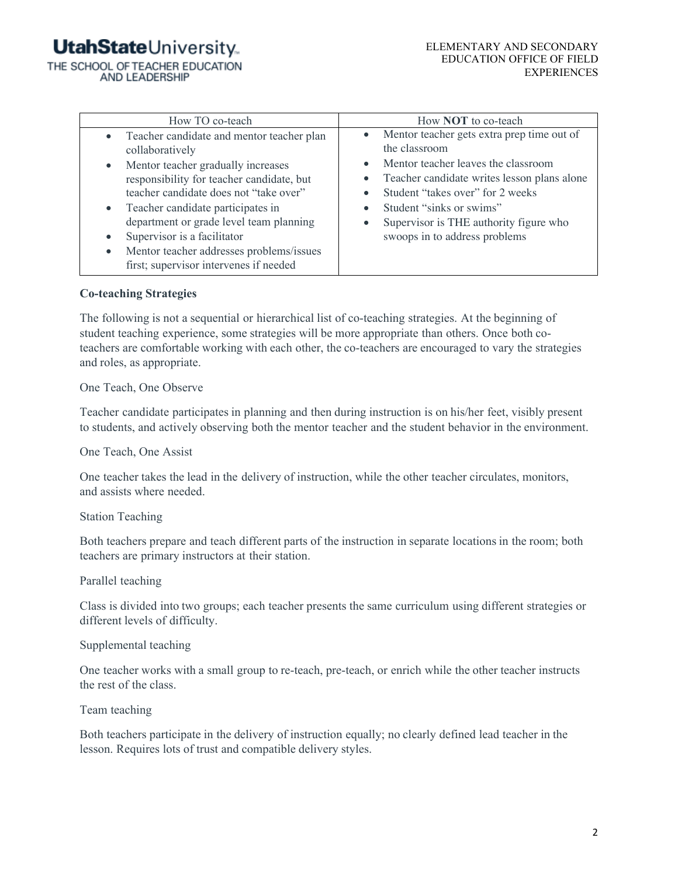# **UtahState**University.

THE SCHOOL OF TEACHER EDUCATION **AND LEADERSHIP** 

| How TO co-teach                           | How <b>NOT</b> to co-teach                  |
|-------------------------------------------|---------------------------------------------|
| Teacher candidate and mentor teacher plan | Mentor teacher gets extra prep time out of  |
| $\bullet$                                 | $\bullet$                                   |
| collaboratively                           | the classroom                               |
| Mentor teacher gradually increases        | Mentor teacher leaves the classroom         |
| $\bullet$                                 | $\bullet$                                   |
| responsibility for teacher candidate, but | Teacher candidate writes lesson plans alone |
| teacher candidate does not "take over"    | $\bullet$                                   |
| Teacher candidate participates in         | Student "takes over" for 2 weeks            |
| $\bullet$                                 | $\bullet$                                   |
| department or grade level team planning   | Student "sinks or swims"                    |
| Supervisor is a facilitator               | $\bullet$                                   |
| Mentor teacher addresses problems/issues  | Supervisor is THE authority figure who      |
| $\bullet$                                 | $\bullet$                                   |
| first; supervisor intervenes if needed    | swoops in to address problems               |

### **Co-teaching Strategies**

The following is not a sequential or hierarchical list of co-teaching strategies. At the beginning of student teaching experience, some strategies will be more appropriate than others. Once both coteachers are comfortable working with each other, the co-teachers are encouraged to vary the strategies and roles, as appropriate.

### One Teach, One Observe

Teacher candidate participates in planning and then during instruction is on his/her feet, visibly present to students, and actively observing both the mentor teacher and the student behavior in the environment.

### One Teach, One Assist

One teacher takes the lead in the delivery of instruction, while the other teacher circulates, monitors, and assists where needed.

### Station Teaching

Both teachers prepare and teach different parts of the instruction in separate locations in the room; both teachers are primary instructors at their station.

### Parallel teaching

Class is divided into two groups; each teacher presents the same curriculum using different strategies or different levels of difficulty.

### Supplemental teaching

One teacher works with a small group to re-teach, pre-teach, or enrich while the other teacher instructs the rest of the class.

### Team teaching

Both teachers participate in the delivery of instruction equally; no clearly defined lead teacher in the lesson. Requires lots of trust and compatible delivery styles.